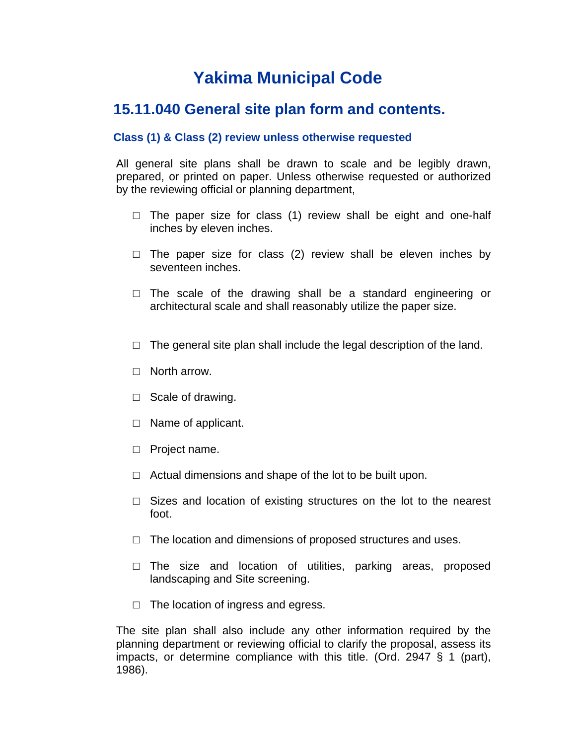# **Yakima Municipal Code**

# **15.11.040 General site plan form and contents.**

## **Class (1) & Class (2) review unless otherwise requested**

All general site plans shall be drawn to scale and be legibly drawn, prepared, or printed on paper. Unless otherwise requested or authorized by the reviewing official or planning department,

- $\Box$  The paper size for class (1) review shall be eight and one-half inches by eleven inches.
- $\Box$  The paper size for class (2) review shall be eleven inches by seventeen inches.
- $\Box$  The scale of the drawing shall be a standard engineering or architectural scale and shall reasonably utilize the paper size.
- $\Box$  The general site plan shall include the legal description of the land.
- □ North arrow.
- □ Scale of drawing.
- □ Name of applicant.
- □ Project name.
- $\Box$  Actual dimensions and shape of the lot to be built upon.
- $\Box$  Sizes and location of existing structures on the lot to the nearest foot.
- $\Box$  The location and dimensions of proposed structures and uses.
- $\square$  The size and location of utilities, parking areas, proposed landscaping and Site screening.
- □ The location of ingress and egress.

The site plan shall also include any other information required by the planning department or reviewing official to clarify the proposal, assess its impacts, or determine compliance with this title. (Ord. 2947 § 1 (part), 1986).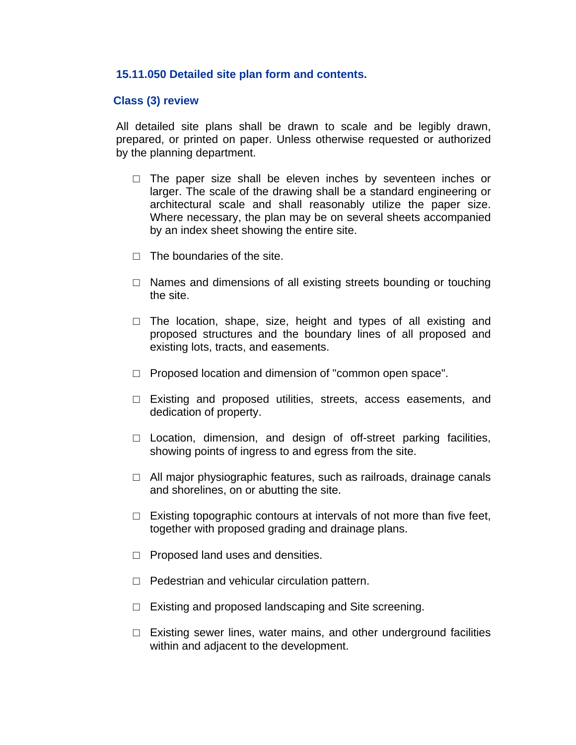### **15.11.050 Detailed site plan form and contents.**

#### **Class (3) review**

All detailed site plans shall be drawn to scale and be legibly drawn, prepared, or printed on paper. Unless otherwise requested or authorized by the planning department.

- $\Box$  The paper size shall be eleven inches by seventeen inches or larger. The scale of the drawing shall be a standard engineering or architectural scale and shall reasonably utilize the paper size. Where necessary, the plan may be on several sheets accompanied by an index sheet showing the entire site.
- $\Box$  The boundaries of the site.
- $\Box$  Names and dimensions of all existing streets bounding or touching the site.
- $\Box$  The location, shape, size, height and types of all existing and proposed structures and the boundary lines of all proposed and existing lots, tracts, and easements.
- □ Proposed location and dimension of "common open space".
- □ Existing and proposed utilities, streets, access easements, and dedication of property.
- $\Box$  Location, dimension, and design of off-street parking facilities, showing points of ingress to and egress from the site.
- $\Box$  All major physiographic features, such as railroads, drainage canals and shorelines, on or abutting the site.
- $\Box$  Existing topographic contours at intervals of not more than five feet, together with proposed grading and drainage plans.
- □ Proposed land uses and densities.
- $\Box$  Pedestrian and vehicular circulation pattern.
- $\Box$  Existing and proposed landscaping and Site screening.
- $\Box$  Existing sewer lines, water mains, and other underground facilities within and adjacent to the development.